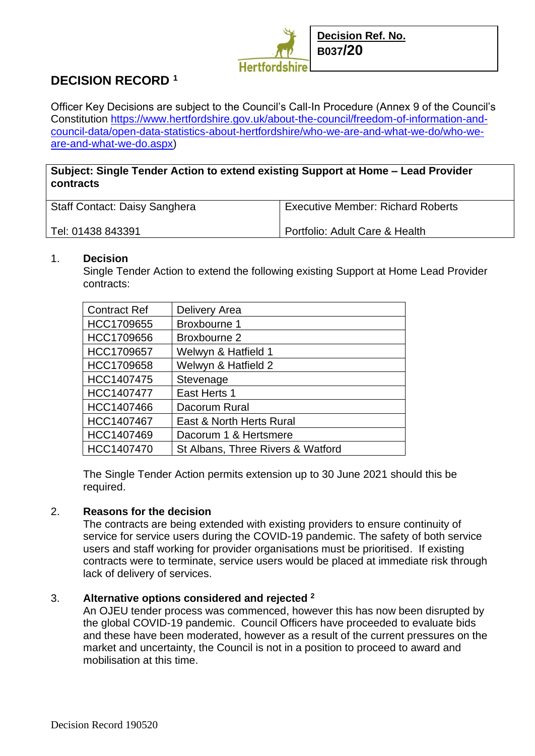

Officer Key Decisions are subject to the Council's Call-In Procedure (Annex 9 of the Council's Constitution [https://www.hertfordshire.gov.uk/about-the-council/freedom-of-information-and](https://www.hertfordshire.gov.uk/about-the-council/freedom-of-information-and-council-data/open-data-statistics-about-hertfordshire/who-we-are-and-what-we-do/who-we-are-and-what-we-do.aspx)[council-data/open-data-statistics-about-hertfordshire/who-we-are-and-what-we-do/who-we](https://www.hertfordshire.gov.uk/about-the-council/freedom-of-information-and-council-data/open-data-statistics-about-hertfordshire/who-we-are-and-what-we-do/who-we-are-and-what-we-do.aspx)[are-and-what-we-do.aspx\)](https://www.hertfordshire.gov.uk/about-the-council/freedom-of-information-and-council-data/open-data-statistics-about-hertfordshire/who-we-are-and-what-we-do/who-we-are-and-what-we-do.aspx)

# **Subject: Single Tender Action to extend existing Support at Home – Lead Provider contracts**

| <b>Staff Contact: Daisy Sanghera</b> | <b>Executive Member: Richard Roberts</b> |
|--------------------------------------|------------------------------------------|
| Tel: 01438 843391                    | Portfolio: Adult Care & Health           |

### 1. **Decision**

Single Tender Action to extend the following existing Support at Home Lead Provider contracts:

| <b>Contract Ref</b> | Delivery Area                     |
|---------------------|-----------------------------------|
| HCC1709655          | <b>Broxbourne 1</b>               |
| HCC1709656          | Broxbourne 2                      |
| HCC1709657          | Welwyn & Hatfield 1               |
| HCC1709658          | Welwyn & Hatfield 2               |
| HCC1407475          | Stevenage                         |
| HCC1407477          | East Herts 1                      |
| HCC1407466          | Dacorum Rural                     |
| HCC1407467          | East & North Herts Rural          |
| HCC1407469          | Dacorum 1 & Hertsmere             |
| HCC1407470          | St Albans, Three Rivers & Watford |

The Single Tender Action permits extension up to 30 June 2021 should this be required.

#### 2. **Reasons for the decision**

The contracts are being extended with existing providers to ensure continuity of service for service users during the COVID-19 pandemic. The safety of both service users and staff working for provider organisations must be prioritised. If existing contracts were to terminate, service users would be placed at immediate risk through lack of delivery of services.

# 3. **Alternative options considered and rejected <sup>2</sup>**

An OJEU tender process was commenced, however this has now been disrupted by the global COVID-19 pandemic. Council Officers have proceeded to evaluate bids and these have been moderated, however as a result of the current pressures on the market and uncertainty, the Council is not in a position to proceed to award and mobilisation at this time.